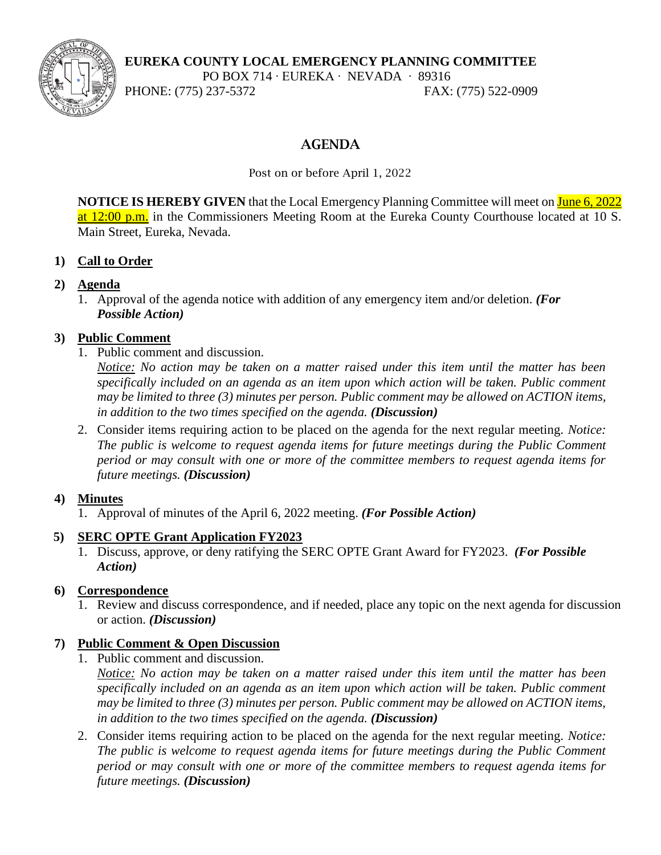**EUREKA COUNTY LOCAL EMERGENCY PLANNING COMMITTEE**

PO BOX 714 ∙ EUREKA ∙ NEVADA ∙ 89316

PHONE: (775) 237-5372 FAX: (775) 522-0909

# **AGENDA**

Post on or before April 1, 2022

**NOTICE IS HEREBY GIVEN** that the Local Emergency Planning Committee will meet on June 6, 2022 at 12:00 p.m. in the Commissioners Meeting Room at the Eureka County Courthouse located at 10 S. Main Street, Eureka, Nevada.

# **1) Call to Order**

# **2) Agenda**

1. Approval of the agenda notice with addition of any emergency item and/or deletion. *(For Possible Action)*

# **3) Public Comment**

1. Public comment and discussion.

*Notice: No action may be taken on a matter raised under this item until the matter has been specifically included on an agenda as an item upon which action will be taken. Public comment may be limited to three (3) minutes per person. Public comment may be allowed on ACTION items, in addition to the two times specified on the agenda. (Discussion)*

2. Consider items requiring action to be placed on the agenda for the next regular meeting. *Notice: The public is welcome to request agenda items for future meetings during the Public Comment period or may consult with one or more of the committee members to request agenda items for future meetings. (Discussion)*

# **4) Minutes**

1. Approval of minutes of the April 6, 2022 meeting. *(For Possible Action)*

# **5) SERC OPTE Grant Application FY2023**

1. Discuss, approve, or deny ratifying the SERC OPTE Grant Award for FY2023. *(For Possible Action)*

# **6) Correspondence**

1. Review and discuss correspondence, and if needed, place any topic on the next agenda for discussion or action. *(Discussion)*

# **7) Public Comment & Open Discussion**

- 1. Public comment and discussion.
	- *Notice: No action may be taken on a matter raised under this item until the matter has been specifically included on an agenda as an item upon which action will be taken. Public comment may be limited to three (3) minutes per person. Public comment may be allowed on ACTION items, in addition to the two times specified on the agenda. (Discussion)*
- 2. Consider items requiring action to be placed on the agenda for the next regular meeting. *Notice: The public is welcome to request agenda items for future meetings during the Public Comment period or may consult with one or more of the committee members to request agenda items for future meetings. (Discussion)*